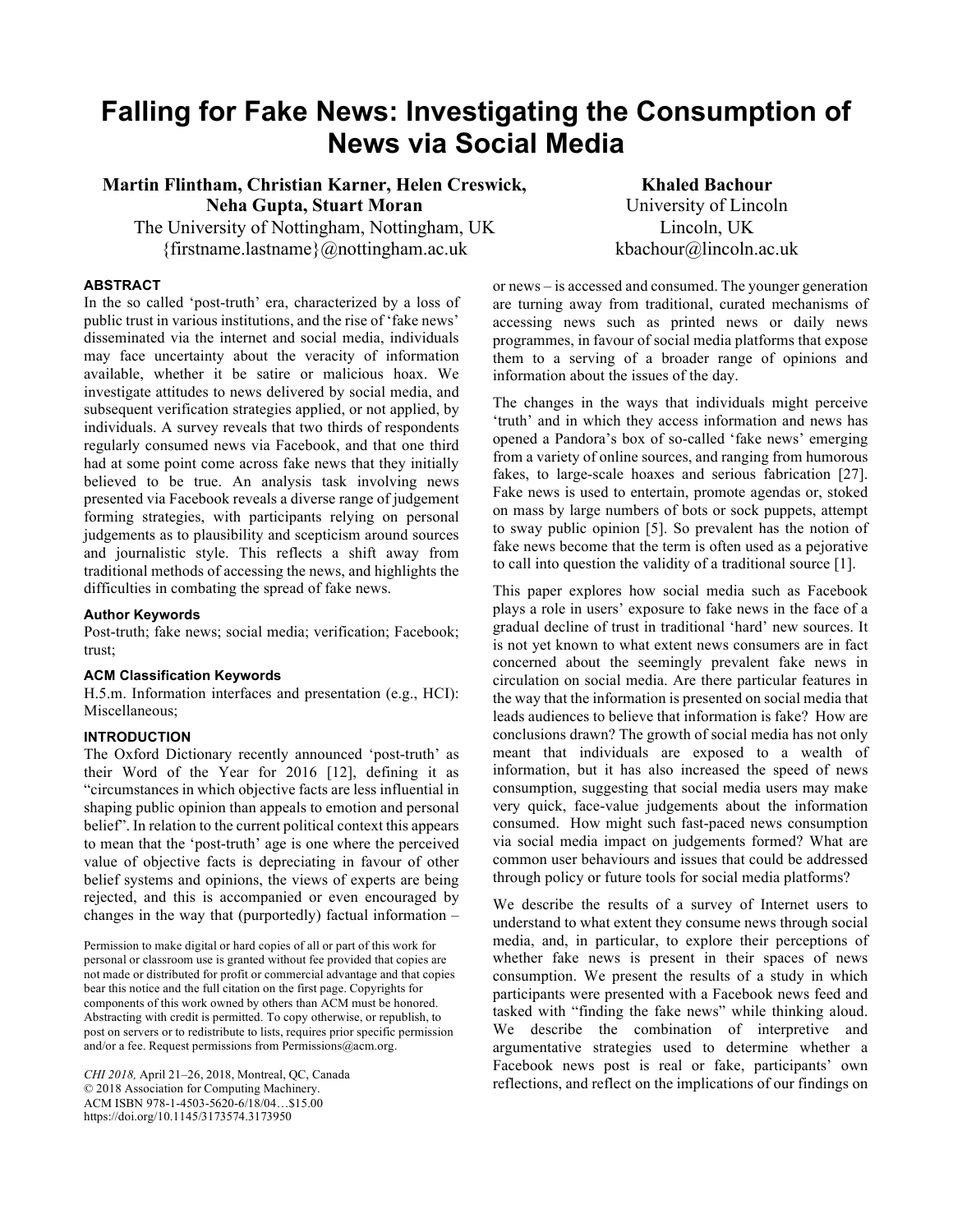# **Falling for Fake News: Investigating the Consumption of News via Social Media**

**Martin Flintham, Christian Karner, Helen Creswick, Neha Gupta, Stuart Moran**

The University of Nottingham, Nottingham, UK {firstname.lastname}@nottingham.ac.uk

# **ABSTRACT**

In the so called 'post-truth' era, characterized by a loss of public trust in various institutions, and the rise of 'fake news' disseminated via the internet and social media, individuals may face uncertainty about the veracity of information available, whether it be satire or malicious hoax. We investigate attitudes to news delivered by social media, and subsequent verification strategies applied, or not applied, by individuals. A survey reveals that two thirds of respondents regularly consumed news via Facebook, and that one third had at some point come across fake news that they initially believed to be true. An analysis task involving news presented via Facebook reveals a diverse range of judgement forming strategies, with participants relying on personal judgements as to plausibility and scepticism around sources and journalistic style. This reflects a shift away from traditional methods of accessing the news, and highlights the difficulties in combating the spread of fake news.

#### **Author Keywords**

Post-truth; fake news; social media; verification; Facebook; trust;

#### **ACM Classification Keywords**

H.5.m. Information interfaces and presentation (e.g., HCI): Miscellaneous;

# **INTRODUCTION**

The Oxford Dictionary recently announced 'post-truth' as their Word of the Year for 2016 [12], defining it as "circumstances in which objective facts are less influential in shaping public opinion than appeals to emotion and personal belief". In relation to the current political context this appears to mean that the 'post-truth' age is one where the perceived value of objective facts is depreciating in favour of other belief systems and opinions, the views of experts are being rejected, and this is accompanied or even encouraged by changes in the way that (purportedly) factual information –

Permission to make digital or hard copies of all or part of this work for personal or classroom use is granted without fee provided that copies are not made or distributed for profit or commercial advantage and that copies bear this notice and the full citation on the first page. Copyrights for components of this work owned by others than ACM must be honored. Abstracting with credit is permitted. To copy otherwise, or republish, to post on servers or to redistribute to lists, requires prior specific permission and/or a fee. Request permissions from Permissions@acm.org.

*CHI 2018,* April 21–26, 2018, Montreal, QC, Canada © 2018 Association for Computing Machinery. ACM ISBN 978-1-4503-5620-6/18/04…\$15.00 https://doi.org/10.1145/3173574.3173950

**Khaled Bachour** University of Lincoln Lincoln, UK kbachour@lincoln.ac.uk

or news – is accessed and consumed. The younger generation are turning away from traditional, curated mechanisms of accessing news such as printed news or daily news programmes, in favour of social media platforms that expose them to a serving of a broader range of opinions and information about the issues of the day.

The changes in the ways that individuals might perceive 'truth' and in which they access information and news has opened a Pandora's box of so-called 'fake news' emerging from a variety of online sources, and ranging from humorous fakes, to large-scale hoaxes and serious fabrication [27]. Fake news is used to entertain, promote agendas or, stoked on mass by large numbers of bots or sock puppets, attempt to sway public opinion [5]. So prevalent has the notion of fake news become that the term is often used as a pejorative to call into question the validity of a traditional source [1].

This paper explores how social media such as Facebook plays a role in users' exposure to fake news in the face of a gradual decline of trust in traditional 'hard' new sources. It is not yet known to what extent news consumers are in fact concerned about the seemingly prevalent fake news in circulation on social media. Are there particular features in the way that the information is presented on social media that leads audiences to believe that information is fake? How are conclusions drawn? The growth of social media has not only meant that individuals are exposed to a wealth of information, but it has also increased the speed of news consumption, suggesting that social media users may make very quick, face-value judgements about the information consumed. How might such fast-paced news consumption via social media impact on judgements formed? What are common user behaviours and issues that could be addressed through policy or future tools for social media platforms?

We describe the results of a survey of Internet users to understand to what extent they consume news through social media, and, in particular, to explore their perceptions of whether fake news is present in their spaces of news consumption. We present the results of a study in which participants were presented with a Facebook news feed and tasked with "finding the fake news" while thinking aloud. We describe the combination of interpretive and argumentative strategies used to determine whether a Facebook news post is real or fake, participants' own reflections, and reflect on the implications of our findings on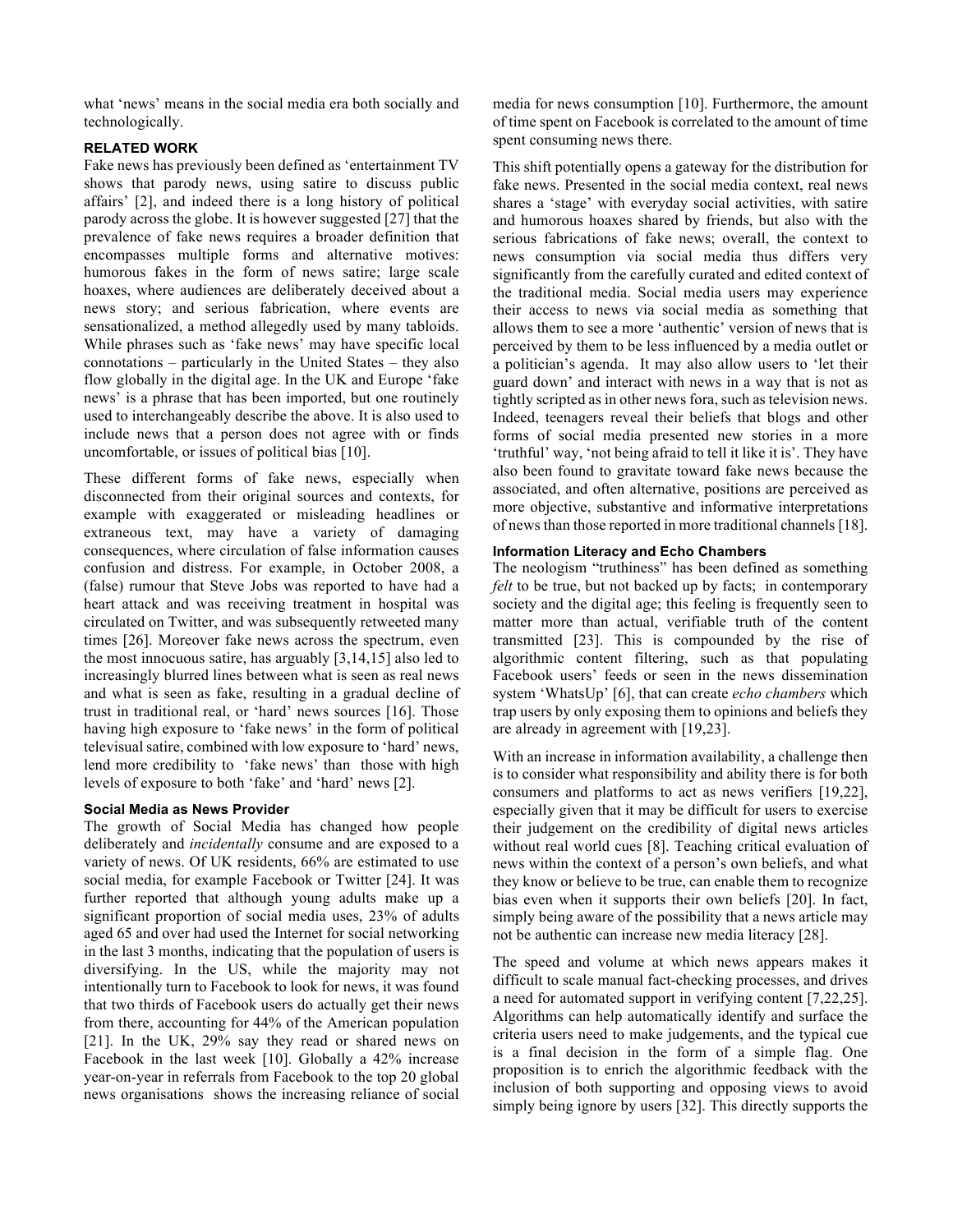what 'news' means in the social media era both socially and technologically.

# **RELATED WORK**

Fake news has previously been defined as 'entertainment TV shows that parody news, using satire to discuss public affairs' [2], and indeed there is a long history of political parody across the globe. It is however suggested [27] that the prevalence of fake news requires a broader definition that encompasses multiple forms and alternative motives: humorous fakes in the form of news satire; large scale hoaxes, where audiences are deliberately deceived about a news story; and serious fabrication, where events are sensationalized, a method allegedly used by many tabloids. While phrases such as 'fake news' may have specific local connotations – particularly in the United States – they also flow globally in the digital age. In the UK and Europe 'fake news' is a phrase that has been imported, but one routinely used to interchangeably describe the above. It is also used to include news that a person does not agree with or finds uncomfortable, or issues of political bias [10].

These different forms of fake news, especially when disconnected from their original sources and contexts, for example with exaggerated or misleading headlines or extraneous text, may have a variety of damaging consequences, where circulation of false information causes confusion and distress. For example, in October 2008, a (false) rumour that Steve Jobs was reported to have had a heart attack and was receiving treatment in hospital was circulated on Twitter, and was subsequently retweeted many times [26]. Moreover fake news across the spectrum, even the most innocuous satire, has arguably [3,14,15] also led to increasingly blurred lines between what is seen as real news and what is seen as fake, resulting in a gradual decline of trust in traditional real, or 'hard' news sources [16]. Those having high exposure to 'fake news' in the form of political televisual satire, combined with low exposure to 'hard' news, lend more credibility to 'fake news' than those with high levels of exposure to both 'fake' and 'hard' news [2].

## **Social Media as News Provider**

The growth of Social Media has changed how people deliberately and *incidentally* consume and are exposed to a variety of news. Of UK residents, 66% are estimated to use social media, for example Facebook or Twitter [24]. It was further reported that although young adults make up a significant proportion of social media uses, 23% of adults aged 65 and over had used the Internet for social networking in the last 3 months, indicating that the population of users is diversifying. In the US, while the majority may not intentionally turn to Facebook to look for news, it was found that two thirds of Facebook users do actually get their news from there, accounting for 44% of the American population [21]. In the UK, 29% say they read or shared news on Facebook in the last week [10]. Globally a 42% increase year-on-year in referrals from Facebook to the top 20 global news organisations shows the increasing reliance of social

media for news consumption [10]. Furthermore, the amount of time spent on Facebook is correlated to the amount of time spent consuming news there.

This shift potentially opens a gateway for the distribution for fake news. Presented in the social media context, real news shares a 'stage' with everyday social activities, with satire and humorous hoaxes shared by friends, but also with the serious fabrications of fake news; overall, the context to news consumption via social media thus differs very significantly from the carefully curated and edited context of the traditional media. Social media users may experience their access to news via social media as something that allows them to see a more 'authentic' version of news that is perceived by them to be less influenced by a media outlet or a politician's agenda. It may also allow users to 'let their guard down' and interact with news in a way that is not as tightly scripted as in other news fora, such as television news. Indeed, teenagers reveal their beliefs that blogs and other forms of social media presented new stories in a more 'truthful' way, 'not being afraid to tell it like it is'. They have also been found to gravitate toward fake news because the associated, and often alternative, positions are perceived as more objective, substantive and informative interpretations of news than those reported in more traditional channels [18].

## **Information Literacy and Echo Chambers**

The neologism "truthiness" has been defined as something *felt* to be true, but not backed up by facts; in contemporary society and the digital age; this feeling is frequently seen to matter more than actual, verifiable truth of the content transmitted [23]. This is compounded by the rise of algorithmic content filtering, such as that populating Facebook users' feeds or seen in the news dissemination system 'WhatsUp' [6], that can create *echo chambers* which trap users by only exposing them to opinions and beliefs they are already in agreement with [19,23].

With an increase in information availability, a challenge then is to consider what responsibility and ability there is for both consumers and platforms to act as news verifiers [19,22], especially given that it may be difficult for users to exercise their judgement on the credibility of digital news articles without real world cues [8]. Teaching critical evaluation of news within the context of a person's own beliefs, and what they know or believe to be true, can enable them to recognize bias even when it supports their own beliefs [20]. In fact, simply being aware of the possibility that a news article may not be authentic can increase new media literacy [28].

The speed and volume at which news appears makes it difficult to scale manual fact-checking processes, and drives a need for automated support in verifying content [7,22,25]. Algorithms can help automatically identify and surface the criteria users need to make judgements, and the typical cue is a final decision in the form of a simple flag. One proposition is to enrich the algorithmic feedback with the inclusion of both supporting and opposing views to avoid simply being ignore by users [32]. This directly supports the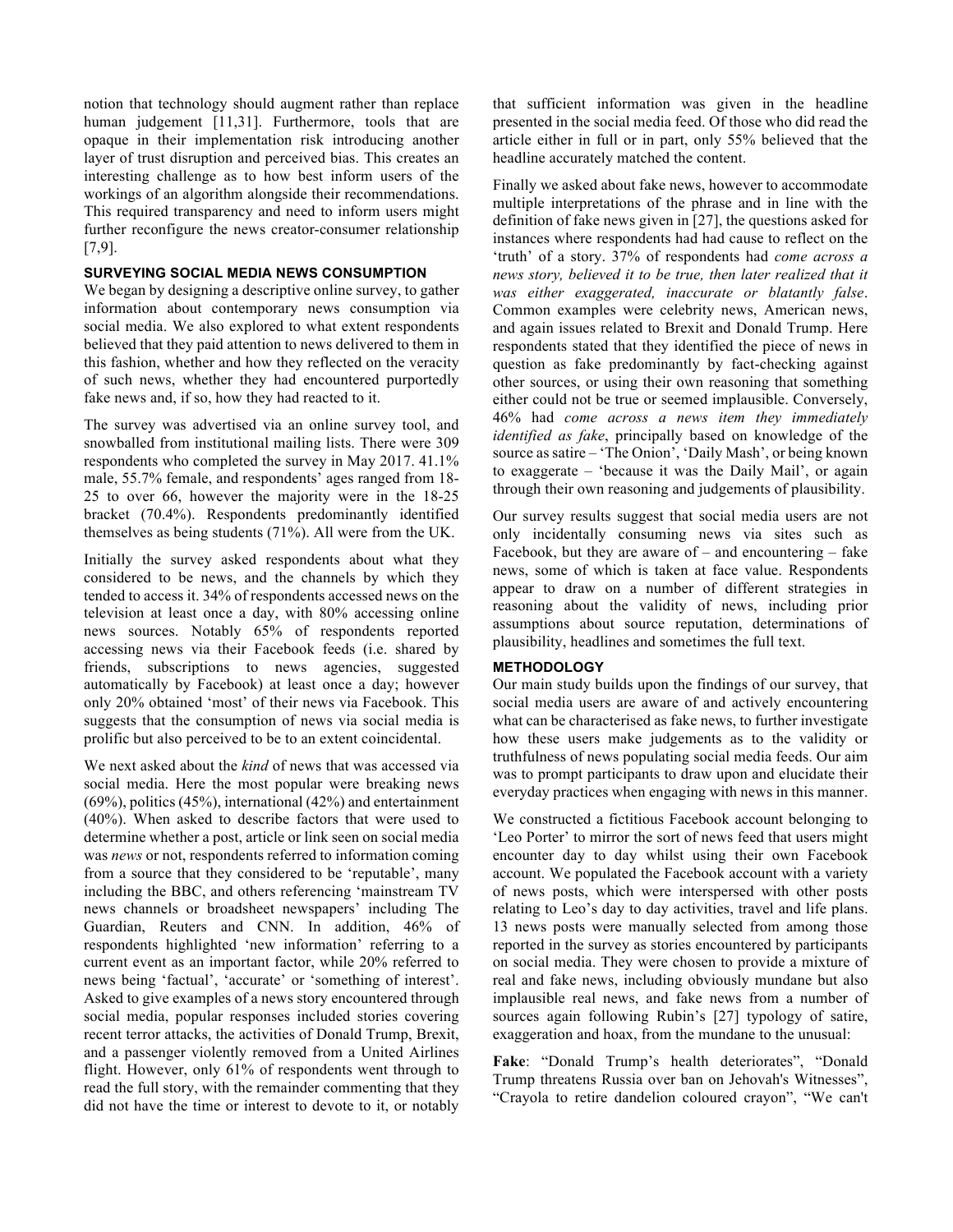notion that technology should augment rather than replace human judgement [11,31]. Furthermore, tools that are opaque in their implementation risk introducing another layer of trust disruption and perceived bias. This creates an interesting challenge as to how best inform users of the workings of an algorithm alongside their recommendations. This required transparency and need to inform users might further reconfigure the news creator-consumer relationship [7,9].

# **SURVEYING SOCIAL MEDIA NEWS CONSUMPTION**

We began by designing a descriptive online survey, to gather information about contemporary news consumption via social media. We also explored to what extent respondents believed that they paid attention to news delivered to them in this fashion, whether and how they reflected on the veracity of such news, whether they had encountered purportedly fake news and, if so, how they had reacted to it.

The survey was advertised via an online survey tool, and snowballed from institutional mailing lists. There were 309 respondents who completed the survey in May 2017. 41.1% male, 55.7% female, and respondents' ages ranged from 18- 25 to over 66, however the majority were in the 18-25 bracket (70.4%). Respondents predominantly identified themselves as being students (71%). All were from the UK.

Initially the survey asked respondents about what they considered to be news, and the channels by which they tended to access it. 34% of respondents accessed news on the television at least once a day, with 80% accessing online news sources. Notably 65% of respondents reported accessing news via their Facebook feeds (i.e. shared by friends, subscriptions to news agencies, suggested automatically by Facebook) at least once a day; however only 20% obtained 'most' of their news via Facebook. This suggests that the consumption of news via social media is prolific but also perceived to be to an extent coincidental.

We next asked about the *kind* of news that was accessed via social media. Here the most popular were breaking news (69%), politics (45%), international (42%) and entertainment (40%). When asked to describe factors that were used to determine whether a post, article or link seen on social media was *news* or not, respondents referred to information coming from a source that they considered to be 'reputable', many including the BBC, and others referencing 'mainstream TV news channels or broadsheet newspapers' including The Guardian, Reuters and CNN. In addition, 46% of respondents highlighted 'new information' referring to a current event as an important factor, while 20% referred to news being 'factual', 'accurate' or 'something of interest'. Asked to give examples of a news story encountered through social media, popular responses included stories covering recent terror attacks, the activities of Donald Trump, Brexit, and a passenger violently removed from a United Airlines flight. However, only 61% of respondents went through to read the full story, with the remainder commenting that they did not have the time or interest to devote to it, or notably

that sufficient information was given in the headline presented in the social media feed. Of those who did read the article either in full or in part, only 55% believed that the headline accurately matched the content.

Finally we asked about fake news, however to accommodate multiple interpretations of the phrase and in line with the definition of fake news given in [27], the questions asked for instances where respondents had had cause to reflect on the 'truth' of a story. 37% of respondents had *come across a news story, believed it to be true, then later realized that it was either exaggerated, inaccurate or blatantly false*. Common examples were celebrity news, American news, and again issues related to Brexit and Donald Trump. Here respondents stated that they identified the piece of news in question as fake predominantly by fact-checking against other sources, or using their own reasoning that something either could not be true or seemed implausible. Conversely, 46% had *come across a news item they immediately identified as fake*, principally based on knowledge of the source as satire – 'The Onion', 'Daily Mash', or being known to exaggerate – 'because it was the Daily Mail', or again through their own reasoning and judgements of plausibility.

Our survey results suggest that social media users are not only incidentally consuming news via sites such as Facebook, but they are aware of  $-$  and encountering  $-$  fake news, some of which is taken at face value. Respondents appear to draw on a number of different strategies in reasoning about the validity of news, including prior assumptions about source reputation, determinations of plausibility, headlines and sometimes the full text.

#### **METHODOLOGY**

Our main study builds upon the findings of our survey, that social media users are aware of and actively encountering what can be characterised as fake news, to further investigate how these users make judgements as to the validity or truthfulness of news populating social media feeds. Our aim was to prompt participants to draw upon and elucidate their everyday practices when engaging with news in this manner.

We constructed a fictitious Facebook account belonging to 'Leo Porter' to mirror the sort of news feed that users might encounter day to day whilst using their own Facebook account. We populated the Facebook account with a variety of news posts, which were interspersed with other posts relating to Leo's day to day activities, travel and life plans. 13 news posts were manually selected from among those reported in the survey as stories encountered by participants on social media. They were chosen to provide a mixture of real and fake news, including obviously mundane but also implausible real news, and fake news from a number of sources again following Rubin's [27] typology of satire, exaggeration and hoax, from the mundane to the unusual:

**Fake**: "Donald Trump's health deteriorates", "Donald Trump threatens Russia over ban on Jehovah's Witnesses", "Crayola to retire dandelion coloured crayon", "We can't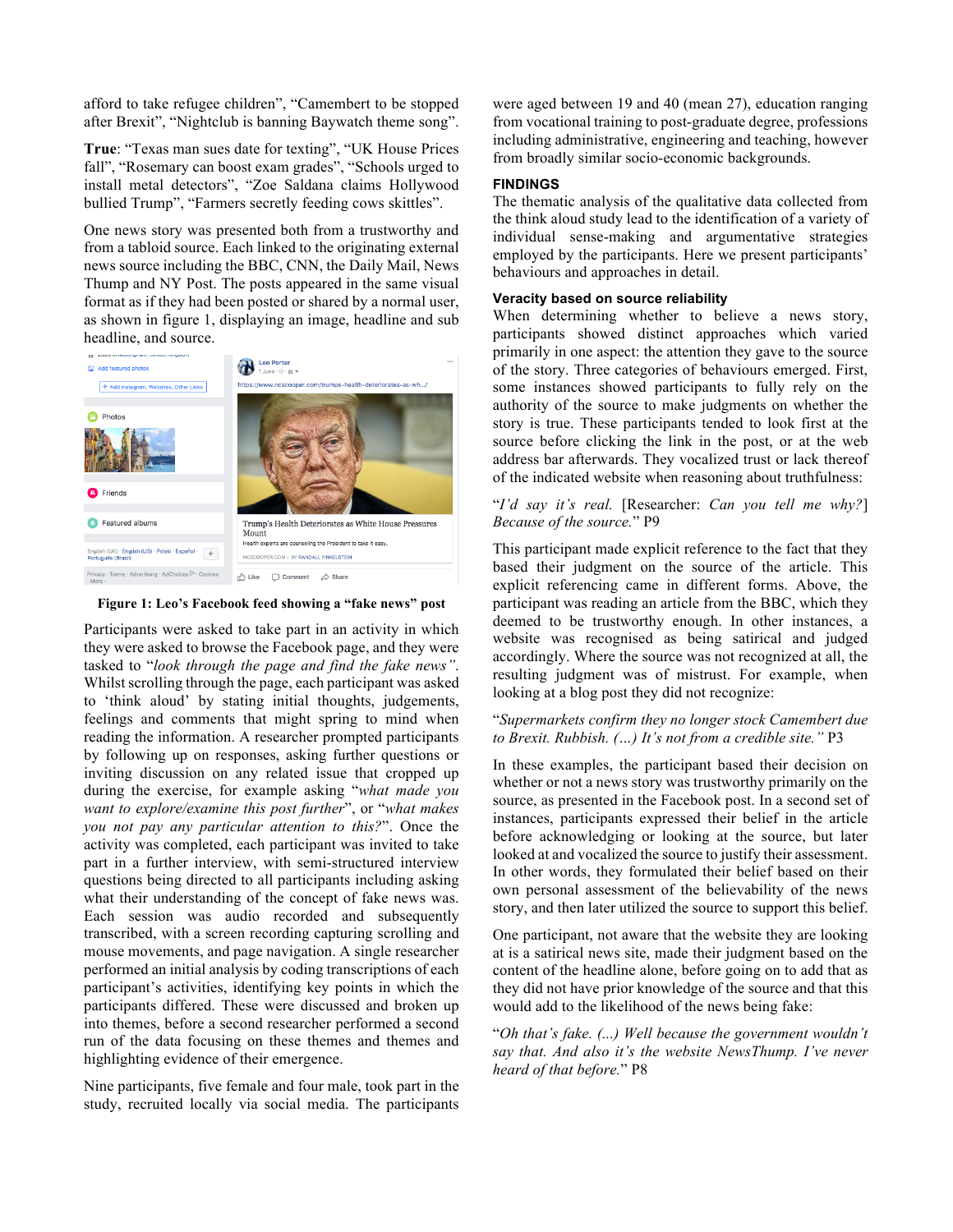afford to take refugee children", "Camembert to be stopped after Brexit", "Nightclub is banning Baywatch theme song".

**True**: "Texas man sues date for texting", "UK House Prices fall", "Rosemary can boost exam grades", "Schools urged to install metal detectors", "Zoe Saldana claims Hollywood bullied Trump", "Farmers secretly feeding cows skittles".

One news story was presented both from a trustworthy and from a tabloid source. Each linked to the originating external news source including the BBC, CNN, the Daily Mail, News Thump and NY Post. The posts appeared in the same visual format as if they had been posted or shared by a normal user, as shown in figure 1, displaying an image, headline and sub headline, and source.



#### **Figure 1: Leo's Facebook feed showing a "fake news" post**

Participants were asked to take part in an activity in which they were asked to browse the Facebook page, and they were tasked to "*look through the page and find the fake news"*. Whilst scrolling through the page, each participant was asked to 'think aloud' by stating initial thoughts, judgements, feelings and comments that might spring to mind when reading the information. A researcher prompted participants by following up on responses, asking further questions or inviting discussion on any related issue that cropped up during the exercise, for example asking "*what made you want to explore/examine this post further*", or "*what makes you not pay any particular attention to this?*". Once the activity was completed, each participant was invited to take part in a further interview, with semi-structured interview questions being directed to all participants including asking what their understanding of the concept of fake news was. Each session was audio recorded and subsequently transcribed, with a screen recording capturing scrolling and mouse movements, and page navigation. A single researcher performed an initial analysis by coding transcriptions of each participant's activities, identifying key points in which the participants differed. These were discussed and broken up into themes, before a second researcher performed a second run of the data focusing on these themes and themes and highlighting evidence of their emergence.

Nine participants, five female and four male, took part in the study, recruited locally via social media. The participants were aged between 19 and 40 (mean 27), education ranging from vocational training to post-graduate degree, professions including administrative, engineering and teaching, however from broadly similar socio-economic backgrounds.

#### **FINDINGS**

The thematic analysis of the qualitative data collected from the think aloud study lead to the identification of a variety of individual sense-making and argumentative strategies employed by the participants. Here we present participants' behaviours and approaches in detail.

## **Veracity based on source reliability**

When determining whether to believe a news story, participants showed distinct approaches which varied primarily in one aspect: the attention they gave to the source of the story. Three categories of behaviours emerged. First, some instances showed participants to fully rely on the authority of the source to make judgments on whether the story is true. These participants tended to look first at the source before clicking the link in the post, or at the web address bar afterwards. They vocalized trust or lack thereof of the indicated website when reasoning about truthfulness:

## "*I'd say it's real.* [Researcher: *Can you tell me why?*] *Because of the source.*" P9

This participant made explicit reference to the fact that they based their judgment on the source of the article. This explicit referencing came in different forms. Above, the participant was reading an article from the BBC, which they deemed to be trustworthy enough. In other instances, a website was recognised as being satirical and judged accordingly. Where the source was not recognized at all, the resulting judgment was of mistrust. For example, when looking at a blog post they did not recognize:

## "*Supermarkets confirm they no longer stock Camembert due to Brexit. Rubbish. (…) It's not from a credible site."* P3

In these examples, the participant based their decision on whether or not a news story was trustworthy primarily on the source, as presented in the Facebook post. In a second set of instances, participants expressed their belief in the article before acknowledging or looking at the source, but later looked at and vocalized the source to justify their assessment. In other words, they formulated their belief based on their own personal assessment of the believability of the news story, and then later utilized the source to support this belief.

One participant, not aware that the website they are looking at is a satirical news site, made their judgment based on the content of the headline alone, before going on to add that as they did not have prior knowledge of the source and that this would add to the likelihood of the news being fake:

"*Oh that's fake. (...) Well because the government wouldn't say that. And also it's the website NewsThump. I've never heard of that before.*" P8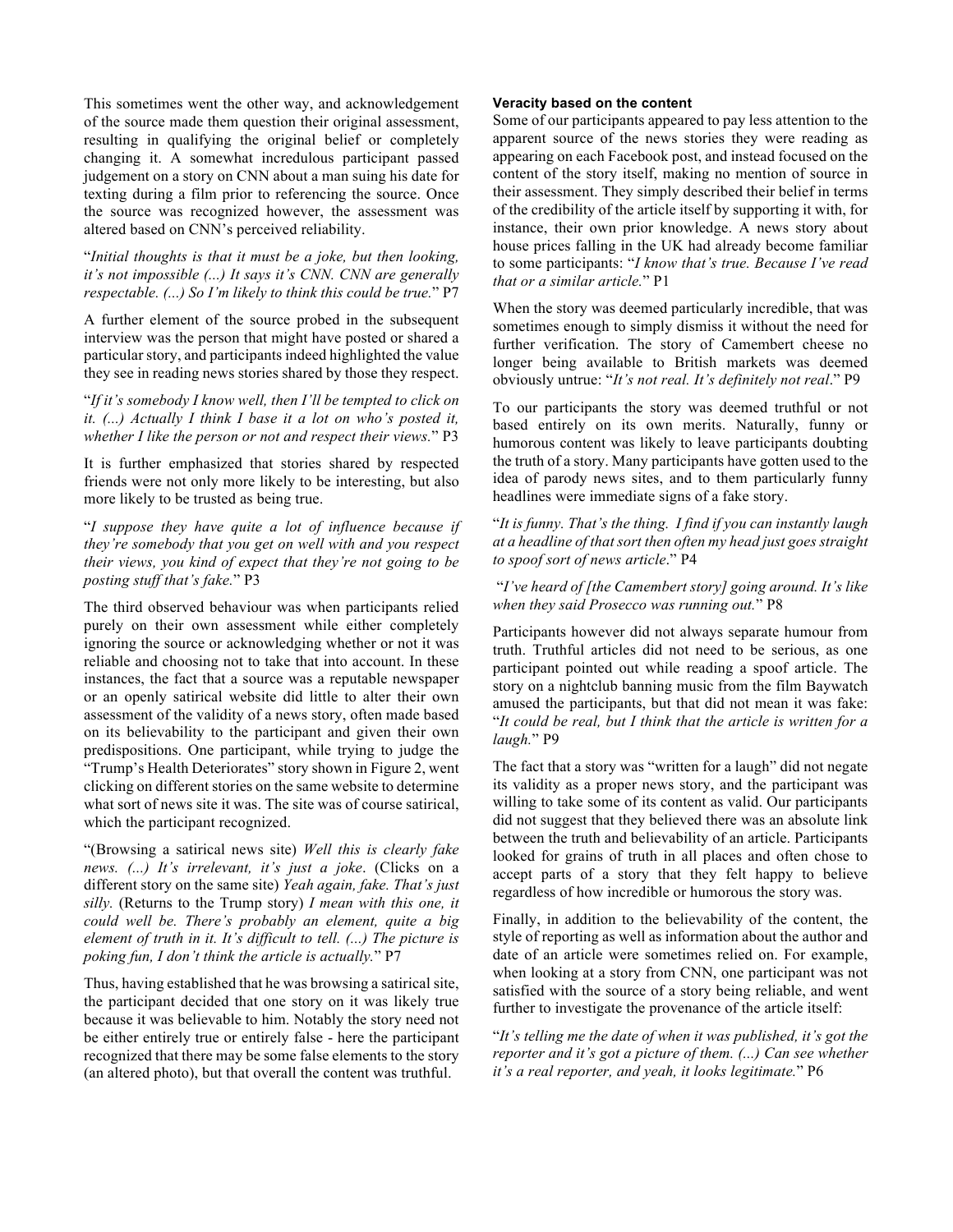This sometimes went the other way, and acknowledgement of the source made them question their original assessment, resulting in qualifying the original belief or completely changing it. A somewhat incredulous participant passed judgement on a story on CNN about a man suing his date for texting during a film prior to referencing the source. Once the source was recognized however, the assessment was altered based on CNN's perceived reliability.

"*Initial thoughts is that it must be a joke, but then looking, it's not impossible (...) It says it's CNN. CNN are generally respectable. (...) So I'm likely to think this could be true.*" P7

A further element of the source probed in the subsequent interview was the person that might have posted or shared a particular story, and participants indeed highlighted the value they see in reading news stories shared by those they respect.

"*If it's somebody I know well, then I'll be tempted to click on it. (...) Actually I think I base it a lot on who's posted it, whether I like the person or not and respect their views.*" P3

It is further emphasized that stories shared by respected friends were not only more likely to be interesting, but also more likely to be trusted as being true.

"*I suppose they have quite a lot of influence because if they're somebody that you get on well with and you respect their views, you kind of expect that they're not going to be posting stuff that's fake.*" P3

The third observed behaviour was when participants relied purely on their own assessment while either completely ignoring the source or acknowledging whether or not it was reliable and choosing not to take that into account. In these instances, the fact that a source was a reputable newspaper or an openly satirical website did little to alter their own assessment of the validity of a news story, often made based on its believability to the participant and given their own predispositions. One participant, while trying to judge the "Trump's Health Deteriorates" story shown in Figure 2, went clicking on different stories on the same website to determine what sort of news site it was. The site was of course satirical, which the participant recognized.

"(Browsing a satirical news site) *Well this is clearly fake news. (...) It's irrelevant, it's just a joke*. (Clicks on a different story on the same site) *Yeah again, fake. That's just silly.* (Returns to the Trump story) *I mean with this one, it could well be. There's probably an element, quite a big element of truth in it. It's difficult to tell. (...) The picture is poking fun, I don't think the article is actually.*" P7

Thus, having established that he was browsing a satirical site, the participant decided that one story on it was likely true because it was believable to him. Notably the story need not be either entirely true or entirely false - here the participant recognized that there may be some false elements to the story (an altered photo), but that overall the content was truthful.

#### **Veracity based on the content**

Some of our participants appeared to pay less attention to the apparent source of the news stories they were reading as appearing on each Facebook post, and instead focused on the content of the story itself, making no mention of source in their assessment. They simply described their belief in terms of the credibility of the article itself by supporting it with, for instance, their own prior knowledge. A news story about house prices falling in the UK had already become familiar to some participants: "*I know that's true. Because I've read that or a similar article.*" P1

When the story was deemed particularly incredible, that was sometimes enough to simply dismiss it without the need for further verification. The story of Camembert cheese no longer being available to British markets was deemed obviously untrue: "*It's not real. It's definitely not real*." P9

To our participants the story was deemed truthful or not based entirely on its own merits. Naturally, funny or humorous content was likely to leave participants doubting the truth of a story. Many participants have gotten used to the idea of parody news sites, and to them particularly funny headlines were immediate signs of a fake story.

"*It is funny. That's the thing. I find if you can instantly laugh at a headline of that sort then often my head just goes straight to spoof sort of news article*." P4

"*I've heard of [the Camembert story] going around. It's like when they said Prosecco was running out.*" P8

Participants however did not always separate humour from truth. Truthful articles did not need to be serious, as one participant pointed out while reading a spoof article. The story on a nightclub banning music from the film Baywatch amused the participants, but that did not mean it was fake: "*It could be real, but I think that the article is written for a laugh.*" P9

The fact that a story was "written for a laugh" did not negate its validity as a proper news story, and the participant was willing to take some of its content as valid. Our participants did not suggest that they believed there was an absolute link between the truth and believability of an article. Participants looked for grains of truth in all places and often chose to accept parts of a story that they felt happy to believe regardless of how incredible or humorous the story was.

Finally, in addition to the believability of the content, the style of reporting as well as information about the author and date of an article were sometimes relied on. For example, when looking at a story from CNN, one participant was not satisfied with the source of a story being reliable, and went further to investigate the provenance of the article itself:

"*It's telling me the date of when it was published, it's got the reporter and it's got a picture of them. (...) Can see whether it's a real reporter, and yeah, it looks legitimate.*" P6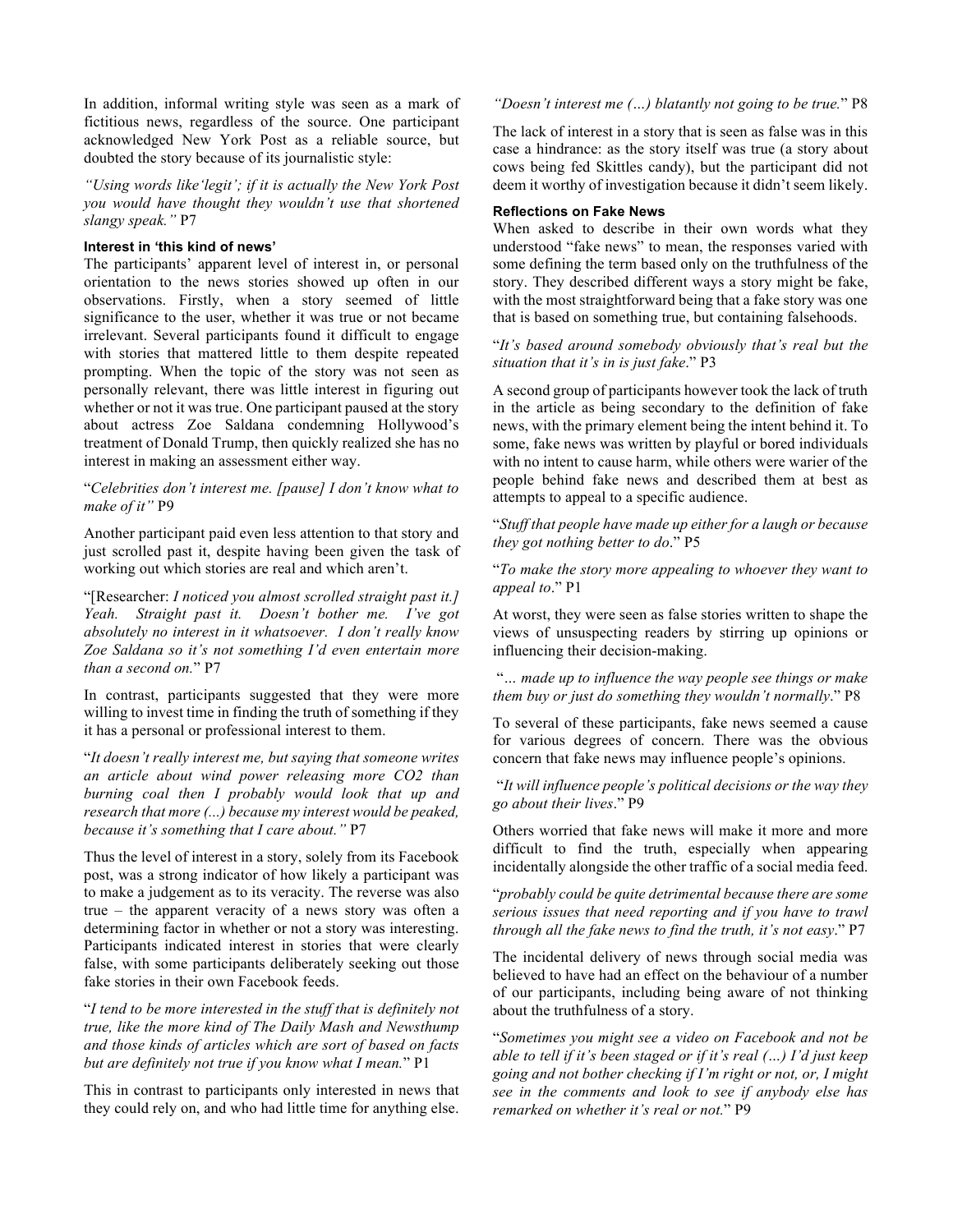In addition, informal writing style was seen as a mark of fictitious news, regardless of the source. One participant acknowledged New York Post as a reliable source, but doubted the story because of its journalistic style:

*"Using words like'legit'; if it is actually the New York Post you would have thought they wouldn't use that shortened slangy speak."* P7

## **Interest in 'this kind of news'**

The participants' apparent level of interest in, or personal orientation to the news stories showed up often in our observations. Firstly, when a story seemed of little significance to the user, whether it was true or not became irrelevant. Several participants found it difficult to engage with stories that mattered little to them despite repeated prompting. When the topic of the story was not seen as personally relevant, there was little interest in figuring out whether or not it was true. One participant paused at the story about actress Zoe Saldana condemning Hollywood's treatment of Donald Trump, then quickly realized she has no interest in making an assessment either way.

"*Celebrities don't interest me. [pause] I don't know what to make of it"* P9

Another participant paid even less attention to that story and just scrolled past it, despite having been given the task of working out which stories are real and which aren't.

"[Researcher: *I noticed you almost scrolled straight past it.] Yeah. Straight past it. Doesn't bother me. I've got absolutely no interest in it whatsoever. I don't really know Zoe Saldana so it's not something I'd even entertain more than a second on.*" P7

In contrast, participants suggested that they were more willing to invest time in finding the truth of something if they it has a personal or professional interest to them.

"*It doesn't really interest me, but saying that someone writes an article about wind power releasing more CO2 than burning coal then I probably would look that up and research that more (...) because my interest would be peaked, because it's something that I care about."* P7

Thus the level of interest in a story, solely from its Facebook post, was a strong indicator of how likely a participant was to make a judgement as to its veracity. The reverse was also true – the apparent veracity of a news story was often a determining factor in whether or not a story was interesting. Participants indicated interest in stories that were clearly false, with some participants deliberately seeking out those fake stories in their own Facebook feeds.

"*I tend to be more interested in the stuff that is definitely not true, like the more kind of The Daily Mash and Newsthump and those kinds of articles which are sort of based on facts but are definitely not true if you know what I mean.*" P1

This in contrast to participants only interested in news that they could rely on, and who had little time for anything else.

# *"Doesn't interest me (…) blatantly not going to be true.*" P8

The lack of interest in a story that is seen as false was in this case a hindrance: as the story itself was true (a story about cows being fed Skittles candy), but the participant did not deem it worthy of investigation because it didn't seem likely.

# **Reflections on Fake News**

When asked to describe in their own words what they understood "fake news" to mean, the responses varied with some defining the term based only on the truthfulness of the story. They described different ways a story might be fake, with the most straightforward being that a fake story was one that is based on something true, but containing falsehoods.

### "*It's based around somebody obviously that's real but the situation that it's in is just fake*." P3

A second group of participants however took the lack of truth in the article as being secondary to the definition of fake news, with the primary element being the intent behind it. To some, fake news was written by playful or bored individuals with no intent to cause harm, while others were warier of the people behind fake news and described them at best as attempts to appeal to a specific audience.

"*Stuff that people have made up either for a laugh or because they got nothing better to do*." P5

"*To make the story more appealing to whoever they want to appeal to*." P1

At worst, they were seen as false stories written to shape the views of unsuspecting readers by stirring up opinions or influencing their decision-making.

"*… made up to influence the way people see things or make them buy or just do something they wouldn't normally*." P8

To several of these participants, fake news seemed a cause for various degrees of concern. There was the obvious concern that fake news may influence people's opinions.

"*It will influence people's political decisions or the way they go about their lives*." P9

Others worried that fake news will make it more and more difficult to find the truth, especially when appearing incidentally alongside the other traffic of a social media feed.

"*probably could be quite detrimental because there are some serious issues that need reporting and if you have to trawl through all the fake news to find the truth, it's not easy*." P7

The incidental delivery of news through social media was believed to have had an effect on the behaviour of a number of our participants, including being aware of not thinking about the truthfulness of a story.

"*Sometimes you might see a video on Facebook and not be able to tell if it's been staged or if it's real (…) I'd just keep going and not bother checking if I'm right or not, or, I might see in the comments and look to see if anybody else has remarked on whether it's real or not.*" P9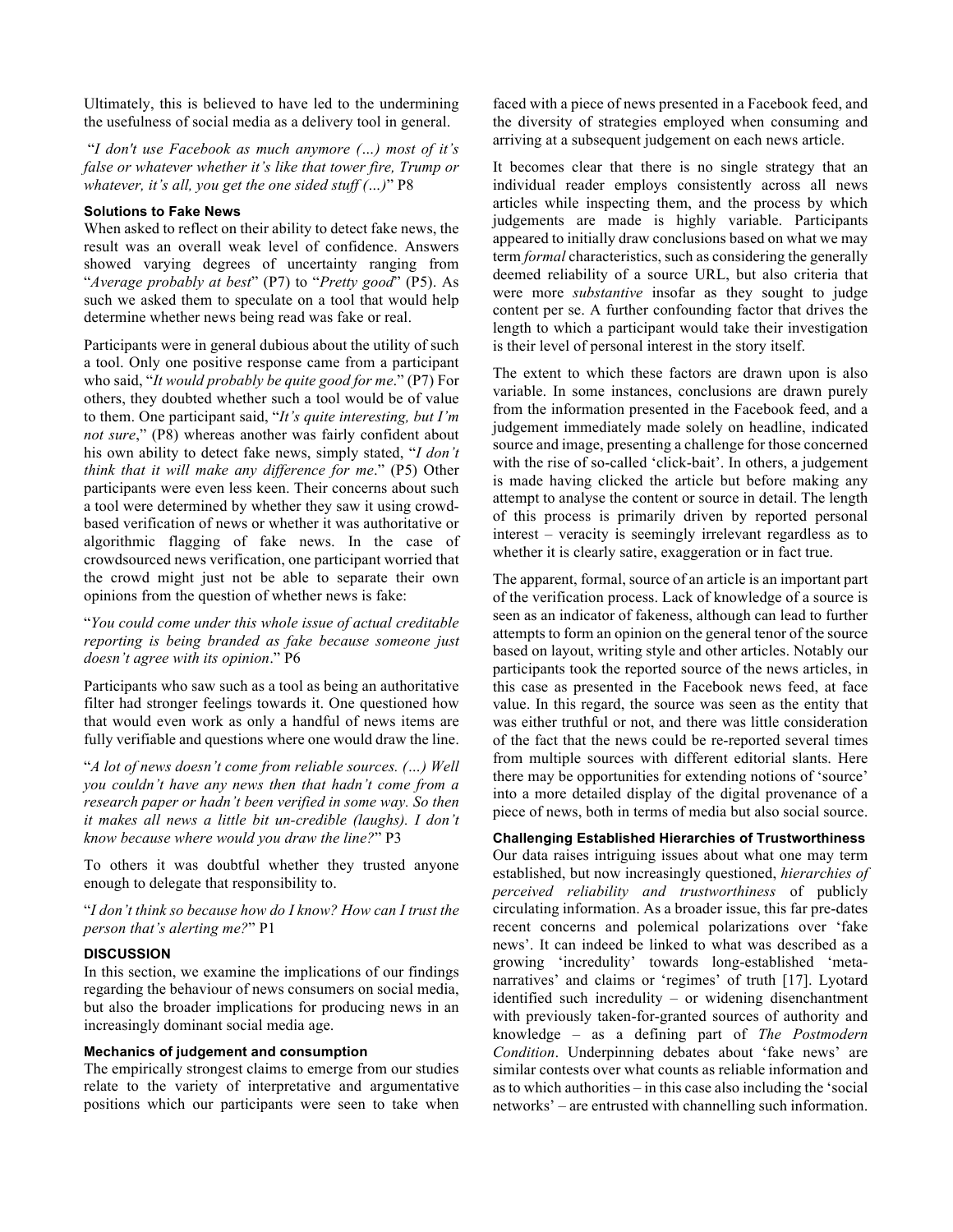Ultimately, this is believed to have led to the undermining the usefulness of social media as a delivery tool in general.

"*I don't use Facebook as much anymore (…) most of it's false or whatever whether it's like that tower fire, Trump or whatever, it's all, you get the one sided stuff (…)*" P8

#### **Solutions to Fake News**

When asked to reflect on their ability to detect fake news, the result was an overall weak level of confidence. Answers showed varying degrees of uncertainty ranging from "*Average probably at best*" (P7) to "*Pretty good*" (P5). As such we asked them to speculate on a tool that would help determine whether news being read was fake or real.

Participants were in general dubious about the utility of such a tool. Only one positive response came from a participant who said, "*It would probably be quite good for me*." (P7) For others, they doubted whether such a tool would be of value to them. One participant said, "*It's quite interesting, but I'm not sure*," (P8) whereas another was fairly confident about his own ability to detect fake news, simply stated, "*I don't think that it will make any difference for me*." (P5) Other participants were even less keen. Their concerns about such a tool were determined by whether they saw it using crowdbased verification of news or whether it was authoritative or algorithmic flagging of fake news. In the case of crowdsourced news verification, one participant worried that the crowd might just not be able to separate their own opinions from the question of whether news is fake:

"*You could come under this whole issue of actual creditable reporting is being branded as fake because someone just doesn't agree with its opinion*." P6

Participants who saw such as a tool as being an authoritative filter had stronger feelings towards it. One questioned how that would even work as only a handful of news items are fully verifiable and questions where one would draw the line.

"*A lot of news doesn't come from reliable sources. (…) Well you couldn't have any news then that hadn't come from a research paper or hadn't been verified in some way. So then it makes all news a little bit un-credible (laughs). I don't know because where would you draw the line?*" P3

To others it was doubtful whether they trusted anyone enough to delegate that responsibility to.

"*I don't think so because how do I know? How can I trust the person that's alerting me?*" P1

#### **DISCUSSION**

In this section, we examine the implications of our findings regarding the behaviour of news consumers on social media, but also the broader implications for producing news in an increasingly dominant social media age.

## **Mechanics of judgement and consumption**

The empirically strongest claims to emerge from our studies relate to the variety of interpretative and argumentative positions which our participants were seen to take when faced with a piece of news presented in a Facebook feed, and the diversity of strategies employed when consuming and arriving at a subsequent judgement on each news article.

It becomes clear that there is no single strategy that an individual reader employs consistently across all news articles while inspecting them, and the process by which judgements are made is highly variable. Participants appeared to initially draw conclusions based on what we may term *formal* characteristics, such as considering the generally deemed reliability of a source URL, but also criteria that were more *substantive* insofar as they sought to judge content per se. A further confounding factor that drives the length to which a participant would take their investigation is their level of personal interest in the story itself.

The extent to which these factors are drawn upon is also variable. In some instances, conclusions are drawn purely from the information presented in the Facebook feed, and a judgement immediately made solely on headline, indicated source and image, presenting a challenge for those concerned with the rise of so-called 'click-bait'. In others, a judgement is made having clicked the article but before making any attempt to analyse the content or source in detail. The length of this process is primarily driven by reported personal interest – veracity is seemingly irrelevant regardless as to whether it is clearly satire, exaggeration or in fact true.

The apparent, formal, source of an article is an important part of the verification process. Lack of knowledge of a source is seen as an indicator of fakeness, although can lead to further attempts to form an opinion on the general tenor of the source based on layout, writing style and other articles. Notably our participants took the reported source of the news articles, in this case as presented in the Facebook news feed, at face value. In this regard, the source was seen as the entity that was either truthful or not, and there was little consideration of the fact that the news could be re-reported several times from multiple sources with different editorial slants. Here there may be opportunities for extending notions of 'source' into a more detailed display of the digital provenance of a piece of news, both in terms of media but also social source.

## **Challenging Established Hierarchies of Trustworthiness**

Our data raises intriguing issues about what one may term established, but now increasingly questioned, *hierarchies of perceived reliability and trustworthiness* of publicly circulating information. As a broader issue, this far pre-dates recent concerns and polemical polarizations over 'fake news'. It can indeed be linked to what was described as a growing 'incredulity' towards long-established 'metanarratives' and claims or 'regimes' of truth [17]. Lyotard identified such incredulity – or widening disenchantment with previously taken-for-granted sources of authority and knowledge – as a defining part of *The Postmodern Condition*. Underpinning debates about 'fake news' are similar contests over what counts as reliable information and as to which authorities – in this case also including the 'social networks' – are entrusted with channelling such information.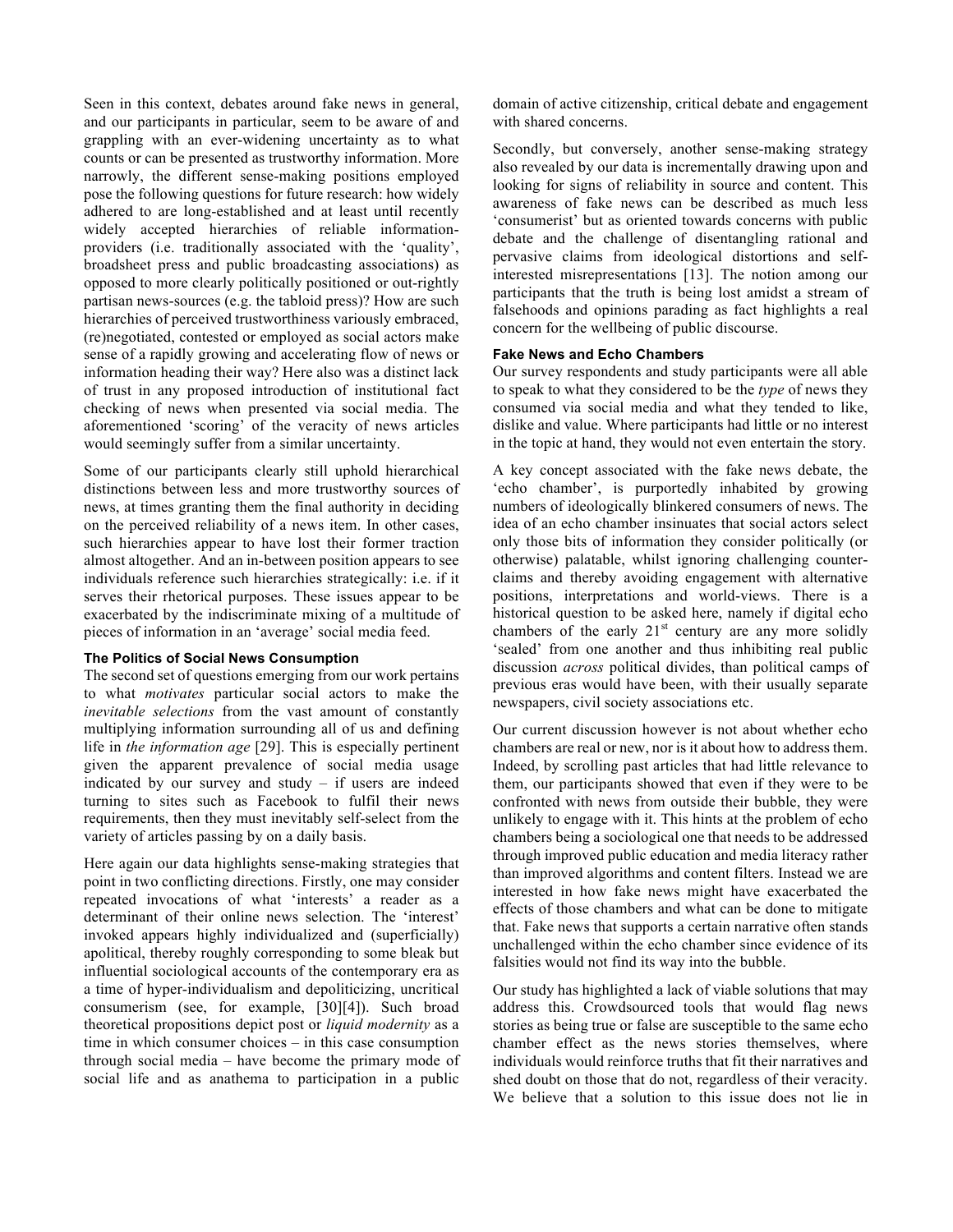Seen in this context, debates around fake news in general, and our participants in particular, seem to be aware of and grappling with an ever-widening uncertainty as to what counts or can be presented as trustworthy information. More narrowly, the different sense-making positions employed pose the following questions for future research: how widely adhered to are long-established and at least until recently widely accepted hierarchies of reliable informationproviders (i.e. traditionally associated with the 'quality', broadsheet press and public broadcasting associations) as opposed to more clearly politically positioned or out-rightly partisan news-sources (e.g. the tabloid press)? How are such hierarchies of perceived trustworthiness variously embraced, (re)negotiated, contested or employed as social actors make sense of a rapidly growing and accelerating flow of news or information heading their way? Here also was a distinct lack of trust in any proposed introduction of institutional fact checking of news when presented via social media. The aforementioned 'scoring' of the veracity of news articles would seemingly suffer from a similar uncertainty.

Some of our participants clearly still uphold hierarchical distinctions between less and more trustworthy sources of news, at times granting them the final authority in deciding on the perceived reliability of a news item. In other cases, such hierarchies appear to have lost their former traction almost altogether. And an in-between position appears to see individuals reference such hierarchies strategically: i.e. if it serves their rhetorical purposes. These issues appear to be exacerbated by the indiscriminate mixing of a multitude of pieces of information in an 'average' social media feed.

## **The Politics of Social News Consumption**

The second set of questions emerging from our work pertains to what *motivates* particular social actors to make the *inevitable selections* from the vast amount of constantly multiplying information surrounding all of us and defining life in *the information age* [29]. This is especially pertinent given the apparent prevalence of social media usage indicated by our survey and study – if users are indeed turning to sites such as Facebook to fulfil their news requirements, then they must inevitably self-select from the variety of articles passing by on a daily basis.

Here again our data highlights sense-making strategies that point in two conflicting directions. Firstly, one may consider repeated invocations of what 'interests' a reader as a determinant of their online news selection. The 'interest' invoked appears highly individualized and (superficially) apolitical, thereby roughly corresponding to some bleak but influential sociological accounts of the contemporary era as a time of hyper-individualism and depoliticizing, uncritical consumerism (see, for example, [30][4]). Such broad theoretical propositions depict post or *liquid modernity* as a time in which consumer choices – in this case consumption through social media – have become the primary mode of social life and as anathema to participation in a public

domain of active citizenship, critical debate and engagement with shared concerns.

Secondly, but conversely, another sense-making strategy also revealed by our data is incrementally drawing upon and looking for signs of reliability in source and content. This awareness of fake news can be described as much less 'consumerist' but as oriented towards concerns with public debate and the challenge of disentangling rational and pervasive claims from ideological distortions and selfinterested misrepresentations [13]. The notion among our participants that the truth is being lost amidst a stream of falsehoods and opinions parading as fact highlights a real concern for the wellbeing of public discourse.

#### **Fake News and Echo Chambers**

Our survey respondents and study participants were all able to speak to what they considered to be the *type* of news they consumed via social media and what they tended to like, dislike and value. Where participants had little or no interest in the topic at hand, they would not even entertain the story.

A key concept associated with the fake news debate, the 'echo chamber', is purportedly inhabited by growing numbers of ideologically blinkered consumers of news. The idea of an echo chamber insinuates that social actors select only those bits of information they consider politically (or otherwise) palatable, whilst ignoring challenging counterclaims and thereby avoiding engagement with alternative positions, interpretations and world-views. There is a historical question to be asked here, namely if digital echo chambers of the early  $21<sup>st</sup>$  century are any more solidly 'sealed' from one another and thus inhibiting real public discussion *across* political divides, than political camps of previous eras would have been, with their usually separate newspapers, civil society associations etc.

Our current discussion however is not about whether echo chambers are real or new, nor is it about how to address them. Indeed, by scrolling past articles that had little relevance to them, our participants showed that even if they were to be confronted with news from outside their bubble, they were unlikely to engage with it. This hints at the problem of echo chambers being a sociological one that needs to be addressed through improved public education and media literacy rather than improved algorithms and content filters. Instead we are interested in how fake news might have exacerbated the effects of those chambers and what can be done to mitigate that. Fake news that supports a certain narrative often stands unchallenged within the echo chamber since evidence of its falsities would not find its way into the bubble.

Our study has highlighted a lack of viable solutions that may address this. Crowdsourced tools that would flag news stories as being true or false are susceptible to the same echo chamber effect as the news stories themselves, where individuals would reinforce truths that fit their narratives and shed doubt on those that do not, regardless of their veracity. We believe that a solution to this issue does not lie in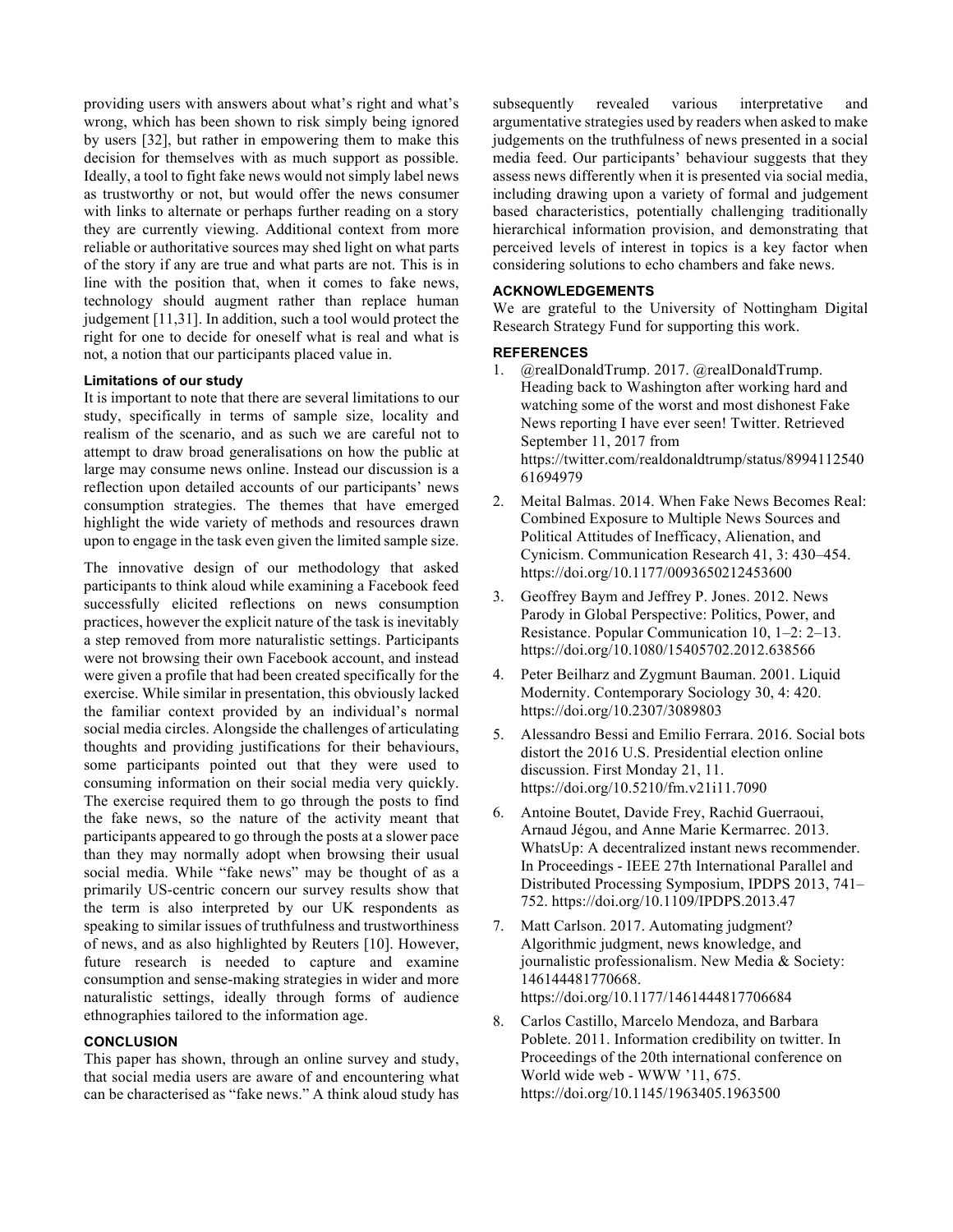providing users with answers about what's right and what's wrong, which has been shown to risk simply being ignored by users [32], but rather in empowering them to make this decision for themselves with as much support as possible. Ideally, a tool to fight fake news would not simply label news as trustworthy or not, but would offer the news consumer with links to alternate or perhaps further reading on a story they are currently viewing. Additional context from more reliable or authoritative sources may shed light on what parts of the story if any are true and what parts are not. This is in line with the position that, when it comes to fake news, technology should augment rather than replace human judgement [11,31]. In addition, such a tool would protect the right for one to decide for oneself what is real and what is not, a notion that our participants placed value in.

#### **Limitations of our study**

It is important to note that there are several limitations to our study, specifically in terms of sample size, locality and realism of the scenario, and as such we are careful not to attempt to draw broad generalisations on how the public at large may consume news online. Instead our discussion is a reflection upon detailed accounts of our participants' news consumption strategies. The themes that have emerged highlight the wide variety of methods and resources drawn upon to engage in the task even given the limited sample size.

The innovative design of our methodology that asked participants to think aloud while examining a Facebook feed successfully elicited reflections on news consumption practices, however the explicit nature of the task is inevitably a step removed from more naturalistic settings. Participants were not browsing their own Facebook account, and instead were given a profile that had been created specifically for the exercise. While similar in presentation, this obviously lacked the familiar context provided by an individual's normal social media circles. Alongside the challenges of articulating thoughts and providing justifications for their behaviours, some participants pointed out that they were used to consuming information on their social media very quickly. The exercise required them to go through the posts to find the fake news, so the nature of the activity meant that participants appeared to go through the posts at a slower pace than they may normally adopt when browsing their usual social media. While "fake news" may be thought of as a primarily US-centric concern our survey results show that the term is also interpreted by our UK respondents as speaking to similar issues of truthfulness and trustworthiness of news, and as also highlighted by Reuters [10]. However, future research is needed to capture and examine consumption and sense-making strategies in wider and more naturalistic settings, ideally through forms of audience ethnographies tailored to the information age.

#### **CONCLUSION**

This paper has shown, through an online survey and study, that social media users are aware of and encountering what can be characterised as "fake news." A think aloud study has subsequently revealed various interpretative and argumentative strategies used by readers when asked to make judgements on the truthfulness of news presented in a social media feed. Our participants' behaviour suggests that they assess news differently when it is presented via social media, including drawing upon a variety of formal and judgement based characteristics, potentially challenging traditionally hierarchical information provision, and demonstrating that perceived levels of interest in topics is a key factor when considering solutions to echo chambers and fake news.

## **ACKNOWLEDGEMENTS**

We are grateful to the University of Nottingham Digital Research Strategy Fund for supporting this work.

## **REFERENCES**

- 1. @realDonaldTrump. 2017. @realDonaldTrump. Heading back to Washington after working hard and watching some of the worst and most dishonest Fake News reporting I have ever seen! Twitter. Retrieved September 11, 2017 from https://twitter.com/realdonaldtrump/status/8994112540 61694979
- 2. Meital Balmas. 2014. When Fake News Becomes Real: Combined Exposure to Multiple News Sources and Political Attitudes of Inefficacy, Alienation, and Cynicism. Communication Research 41, 3: 430–454. https://doi.org/10.1177/0093650212453600
- 3. Geoffrey Baym and Jeffrey P. Jones. 2012. News Parody in Global Perspective: Politics, Power, and Resistance. Popular Communication 10, 1–2: 2–13. https://doi.org/10.1080/15405702.2012.638566
- 4. Peter Beilharz and Zygmunt Bauman. 2001. Liquid Modernity. Contemporary Sociology 30, 4: 420. https://doi.org/10.2307/3089803
- 5. Alessandro Bessi and Emilio Ferrara. 2016. Social bots distort the 2016 U.S. Presidential election online discussion. First Monday 21, 11. https://doi.org/10.5210/fm.v21i11.7090
- 6. Antoine Boutet, Davide Frey, Rachid Guerraoui, Arnaud Jégou, and Anne Marie Kermarrec. 2013. WhatsUp: A decentralized instant news recommender. In Proceedings - IEEE 27th International Parallel and Distributed Processing Symposium, IPDPS 2013, 741– 752. https://doi.org/10.1109/IPDPS.2013.47
- 7. Matt Carlson. 2017. Automating judgment? Algorithmic judgment, news knowledge, and journalistic professionalism. New Media & Society: 146144481770668. https://doi.org/10.1177/1461444817706684
- 8. Carlos Castillo, Marcelo Mendoza, and Barbara Poblete. 2011. Information credibility on twitter. In Proceedings of the 20th international conference on World wide web - WWW '11, 675. https://doi.org/10.1145/1963405.1963500